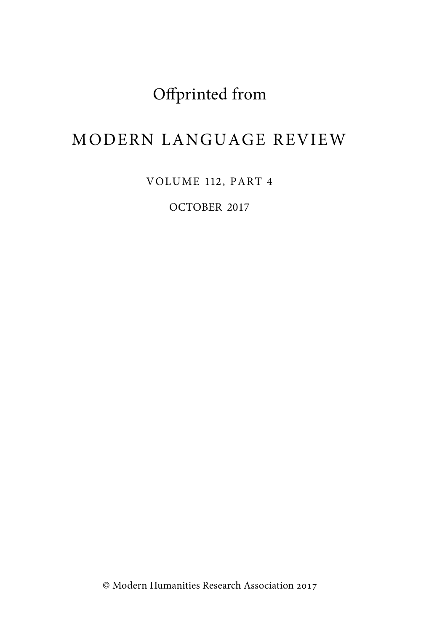## Offprinted from

## MODERN LANGUAGE REVIEW

VOLUME 112, PART 4

OCTOBER 2017

© Modern Humanities Research Association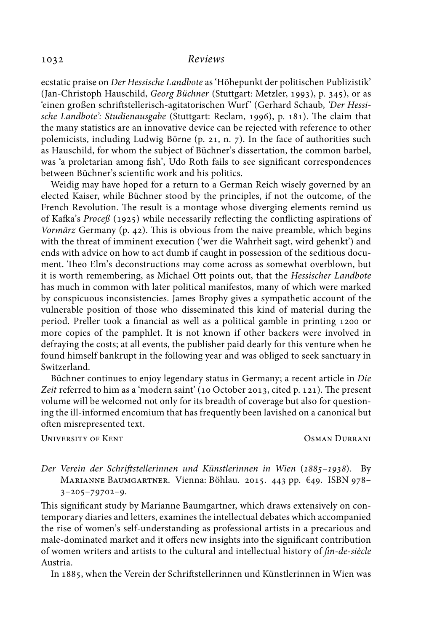## *Reviews*

ecstatic praise on *Der Hessische Landbote* as 'Höhepunkt der politischen Publizistik' (Jan-Christoph Hauschild, *Georg Büchner* (Stuttgart: Metzler, 1993), p. 345), or as 'einen großen schriftstellerisch-agitatorischen Wurf' (Gerhard Schaub, 'Der Hessi*sche Landbote': Studienausgabe* (Stuttgart: Reclam, 1996), p. 181). The claim that the many statistics are an innovative device can be rejected with reference to other polemicists, including Ludwig Börne (p. 21, n. 7). In the face of authorities such as Hauschild, for whom the subject of Büchner's dissertation, the common barbel, was 'a proletarian among fish', Udo Roth fails to see significant correspondences between Büchner's scientific work and his politics.

Weidig may have hoped for a return to a German Reich wisely governed by an elected Kaiser, while Büchner stood by the principles, if not the outcome, of the French Revolution. The result is a montage whose diverging elements remind us of Kafka's Proceß (1925) while necessarily reflecting the conflicting aspirations of *Vormärz* Germany (p. 42). This is obvious from the naive preamble, which begins with the threat of imminent execution ('wer die Wahrheit sagt, wird gehenkt') and ends with advice on how to act dumb if caught in possession of the seditious document. Theo Elm's deconstructions may come across as somewhat overblown, but it is worth remembering, as Michael Ott points out, that the *Hessischer Landbote* has much in common with later political manifestos, many of which were marked by conspicuous inconsistencies. James Brophy gives a sympathetic account of the vulnerable position of those who disseminated this kind of material during the period. Preller took a financial as well as a political gamble in printing 1200 or more copies of the pamphlet. It is not known if other backers were involved in defraying the costs; at all events, the publisher paid dearly for this venture when he found himself bankrupt in the following year and was obliged to seek sanctuary in Switzerland.

Büchner continues to enjoy legendary status in Germany; a recent article in *Die* Zeit referred to him as a 'modern saint' (10 October 2013, cited p. 121). The present volume will be welcomed not only for its breadth of coverage but also for questioning the ill-informed encomium that has frequently been lavished on a canonical but often misrepresented text.

UNIVERSITY OF KENT NEWSPAPE OSMAN DURRANI

Der Verein der Schriftstellerinnen und Künstlerinnen in Wien (1885–1938). By MARIANNE BAUMGARTNER. Vienna: Böhlau. 2015. 443 pp.  $\epsilon$ 49. ISBN 978- $3-205-79702-9.$ 

This significant study by Marianne Baumgartner, which draws extensively on contemporary diaries and letters, examines the intellectual debates which accompanied the rise of women's self-understanding as professional artists in a precarious and male-dominated market and it offers new insights into the significant contribution of women writers and artists to the cultural and intellectual history of *fin-de-siècle* Austria.

In 1885, when the Verein der Schriftstellerinnen und Künstlerinnen in Wien was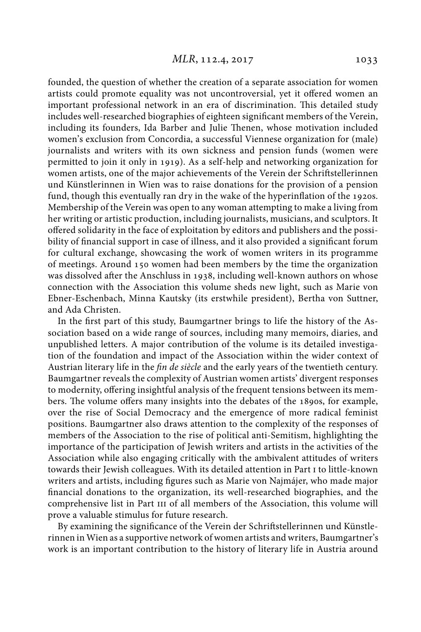founded, the question of whether the creation of a separate association for women artists could promote equality was not uncontroversial, yet it offered women an important professional network in an era of discrimination. This detailed study includes well-researched biographies of eighteen significant members of the Verein, including its founders, Ida Barber and Julie Thenen, whose motivation included women's exclusion from Concordia, a successful Viennese organization for (male) journalists and writers with its own sickness and pension funds (women were permitted to join it only in 1919). As a self-help and networking organization for women artists, one of the major achievements of the Verein der Schriftstellerinnen und Künstlerinnen in Wien was to raise donations for the provision of a pension fund, though this eventually ran dry in the wake of the hyperinflation of the 1920s. Membership of the Verein was open to any woman attempting to make a living from her writing or artistic production, including journalists, musicians, and sculptors. It offered solidarity in the face of exploitation by editors and publishers and the possibility of financial support in case of illness, and it also provided a significant forum for cultural exchange, showcasing the work of women writers in its programme of meetings. Around 150 women had been members by the time the organization was dissolved after the Anschluss in 1938, including well-known authors on whose connection with the Association this volume sheds new light, such as Marie von Ebner-Eschenbach, Minna Kautsky (its erstwhile president), Bertha von Suttner, and Ada Christen.

In the first part of this study, Baumgartner brings to life the history of the Association based on a wide range of sources, including many memoirs, diaries, and unpublished letters. A major contribution of the volume is its detailed investigation of the foundation and impact of the Association within the wider context of Austrian literary life in the *fin de siècle* and the early years of the twentieth century. Baumgartner reveals the complexity of Austrian women artists' divergent responses to modernity, offering insightful analysis of the frequent tensions between its members. The volume offers many insights into the debates of the 1890s, for example, over the rise of Social Democracy and the emergence of more radical feminist positions. Baumgartner also draws attention to the complexity of the responses of members of the Association to the rise of political anti-Semitism, highlighting the importance of the participation of Jewish writers and artists in the activities of the Association while also engaging critically with the ambivalent attitudes of writers towards their Jewish colleagues. With its detailed attention in Part to little-known writers and artists, including figures such as Marie von Najmájer, who made major financial donations to the organization, its well-researched biographies, and the comprehensive list in Part III of all members of the Association, this volume will prove a valuable stimulus for future research.

By examining the significance of the Verein der Schriftstellerinnen und Künstlerinnen in Wien as a supportive network of women artists and writers, Baumgartner's work is an important contribution to the history of literary life in Austria around